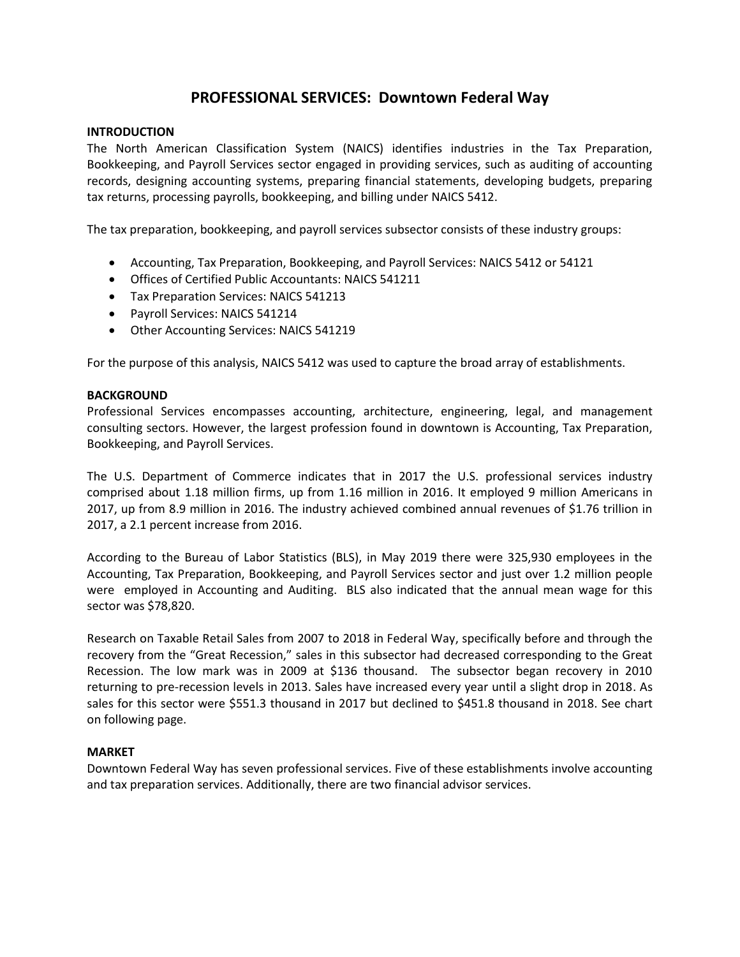## **PROFESSIONAL SERVICES: Downtown Federal Way**

### **INTRODUCTION**

The North American Classification System (NAICS) identifies industries in the Tax Preparation, Bookkeeping, and Payroll Services sector engaged in providing services, such as auditing of accounting records, designing accounting systems, preparing financial statements, developing budgets, preparing tax returns, processing payrolls, bookkeeping, and billing under NAICS 5412.

The tax preparation, bookkeeping, and payroll services subsector consists of these industry groups:

- Accounting, Tax Preparation, Bookkeeping, and Payroll Services: NAICS 5412 or 54121
- Offices of Certified Public Accountants: NAICS 541211
- Tax Preparation Services: NAICS 541213
- Payroll Services: NAICS 541214
- Other Accounting Services: NAICS 541219

For the purpose of this analysis, NAICS 5412 was used to capture the broad array of establishments.

## **BACKGROUND**

Professional Services encompasses accounting, architecture, engineering, legal, and management consulting sectors. However, the largest profession found in downtown is Accounting, Tax Preparation, Bookkeeping, and Payroll Services.

The U.S. Department of Commerce indicates that in 2017 the U.S. professional services industry comprised about 1.18 million firms, up from 1.16 million in 2016. It employed 9 million Americans in 2017, up from 8.9 million in 2016. The industry achieved combined annual revenues of \$1.76 trillion in 2017, a 2.1 percent increase from 2016.

According to the Bureau of Labor Statistics (BLS), in May 2019 there were 325,930 employees in the Accounting, Tax Preparation, Bookkeeping, and Payroll Services sector and just over 1.2 million people were employed in Accounting and Auditing. BLS also indicated that the annual mean wage for this sector was \$78,820.

Research on Taxable Retail Sales from 2007 to 2018 in Federal Way, specifically before and through the recovery from the "Great Recession," sales in this subsector had decreased corresponding to the Great Recession. The low mark was in 2009 at \$136 thousand. The subsector began recovery in 2010 returning to pre-recession levels in 2013. Sales have increased every year until a slight drop in 2018. As sales for this sector were \$551.3 thousand in 2017 but declined to \$451.8 thousand in 2018. See chart on following page.

## **MARKET**

Downtown Federal Way has seven professional services. Five of these establishments involve accounting and tax preparation services. Additionally, there are two financial advisor services.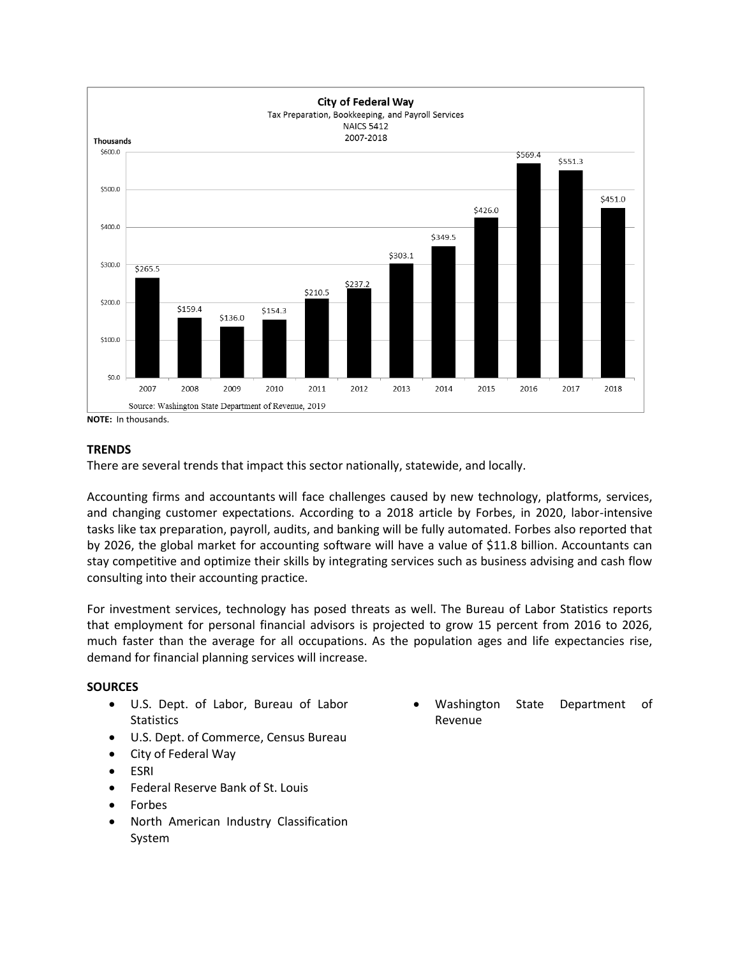

**NOTE:** In thousands.

## **TRENDS**

There are several trends that impact this sector nationally, statewide, and locally.

Accounting firms and accountants will face challenges caused by new technology, platforms, services, and changing customer expectations. According to a 2018 article by Forbes, in 2020, labor-intensive tasks like tax preparation, payroll, audits, and banking will be fully automated. Forbes also reported that by 2026, the global market for accounting software will have a value of \$11.8 billion. Accountants can stay competitive and optimize their skills by integrating services such as business advising and cash flow consulting into their accounting practice.

For investment services, technology has posed threats as well. The Bureau of Labor Statistics reports that employment for personal financial advisors is projected to grow 15 percent from 2016 to 2026, much faster than the average for all occupations. As the population ages and life expectancies rise, demand for financial planning services will increase.

## **SOURCES**

- U.S. Dept. of Labor, Bureau of Labor **Statistics**
- U.S. Dept. of Commerce, Census Bureau
- City of Federal Way
- ESRI
- Federal Reserve Bank of St. Louis
- Forbes
- North American Industry Classification System

 Washington State Department of Revenue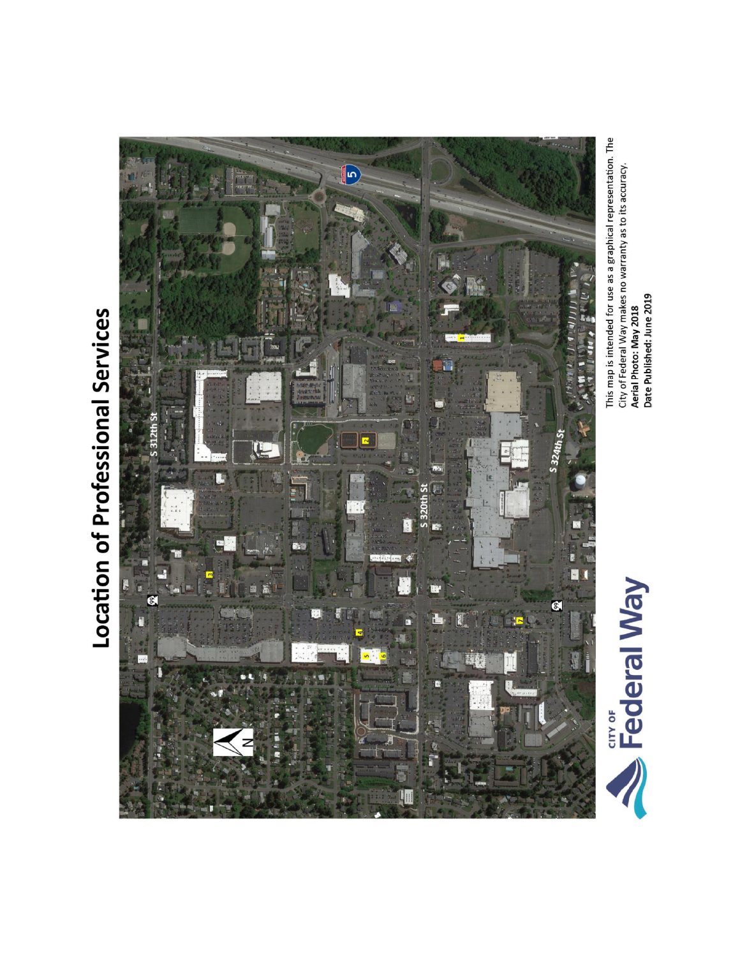



This map is intended for use as a graphical representation. The<br>City of Federal Way makes no warranty as to its accuracy.<br>**Aerial Photo: May 2018**<br>Date Published: June 2019